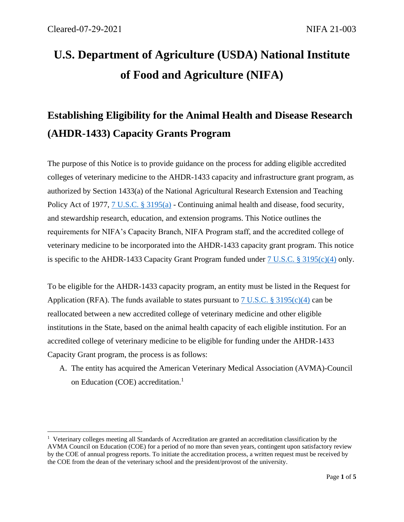# **U.S. Department of Agriculture (USDA) National Institute of Food and Agriculture (NIFA)**

# **Establishing Eligibility for the Animal Health and Disease Research (AHDR-1433) Capacity Grants Program**

The purpose of this Notice is to provide guidance on the process for adding eligible accredited colleges of veterinary medicine to the AHDR-1433 capacity and infrastructure grant program, as authorized by Section 1433(a) of the National Agricultural Research Extension and Teaching Policy Act of 1977, [7 U.S.C. § 3195\(](http://uscode.house.gov/view.xhtml?req=(title:7%20section:3195%20edition:prelim)%20OR%20(granuleid:USC-prelim-title7-section3195)&f=treesort&edition=prelim&num=0&jumpTo=true)a) - Continuing animal health and disease, food security, and stewardship research, education, and extension programs. This Notice outlines the requirements for NIFA's Capacity Branch, NIFA Program staff, and the accredited college of veterinary medicine to be incorporated into the AHDR-1433 capacity grant program. This notice is specific to the AHDR-1433 Capacity Grant Program funded under [7 U.S.C. § 3195\(c\)\(4\)](http://uscode.house.gov/view.xhtml?req=(title:7%20section:3195%20edition:prelim)%20OR%20(granuleid:USC-prelim-title7-section3195)&f=treesort&edition=prelim&num=0&jumpTo=true) only.

To be eligible for the AHDR-1433 capacity program, an entity must be listed in the Request for Application (RFA). The funds available to states pursuant to [7 U.S.C. § 3195\(c\)\(4\)](http://uscode.house.gov/view.xhtml?req=(title:7%20section:3195%20edition:prelim)%20OR%20(granuleid:USC-prelim-title7-section3195)&f=treesort&edition=prelim&num=0&jumpTo=true) can be reallocated between a new accredited college of veterinary medicine and other eligible institutions in the State, based on the animal health capacity of each eligible institution. For an accredited college of veterinary medicine to be eligible for funding under the AHDR-1433 Capacity Grant program, the process is as follows:

A. The entity has acquired the American Veterinary Medical Association (AVMA)-Council on Education (COE) accreditation.<sup>1</sup>

<sup>&</sup>lt;sup>1</sup> Veterinary colleges meeting all Standards of Accreditation are granted an accreditation classification by the AVMA Council on Education (COE) for a period of no more than seven years, contingent upon satisfactory review by the COE of annual progress reports. To initiate the accreditation process, a written request must be received by the COE from the dean of the veterinary school and the president/provost of the university.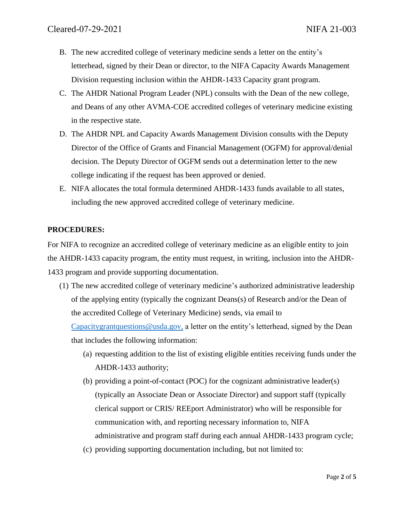- B. The new accredited college of veterinary medicine sends a letter on the entity's letterhead, signed by their Dean or director, to the NIFA Capacity Awards Management Division requesting inclusion within the AHDR-1433 Capacity grant program.
- C. The AHDR National Program Leader (NPL) consults with the Dean of the new college, and Deans of any other AVMA-COE accredited colleges of veterinary medicine existing in the respective state.
- D. The AHDR NPL and Capacity Awards Management Division consults with the Deputy Director of the Office of Grants and Financial Management (OGFM) for approval/denial decision. The Deputy Director of OGFM sends out a determination letter to the new college indicating if the request has been approved or denied.
- E. NIFA allocates the total formula determined AHDR-1433 funds available to all states, including the new approved accredited college of veterinary medicine.

## **PROCEDURES:**

For NIFA to recognize an accredited college of veterinary medicine as an eligible entity to join the AHDR-1433 capacity program, the entity must request, in writing, inclusion into the AHDR-1433 program and provide supporting documentation.

(1) The new accredited college of veterinary medicine's authorized administrative leadership of the applying entity (typically the cognizant Deans(s) of Research and/or the Dean of the accredited College of Veterinary Medicine) sends, via email to

[Capacitygrantquestions@usda.gov,](mailto:Capacitygrantquestions@usda.gov) a letter on the entity's letterhead, signed by the Dean that includes the following information:

- (a) requesting addition to the list of existing eligible entities receiving funds under the AHDR-1433 authority;
- (b) providing a point-of-contact (POC) for the cognizant administrative leader(s) (typically an Associate Dean or Associate Director) and support staff (typically clerical support or CRIS/ REEport Administrator) who will be responsible for communication with, and reporting necessary information to, NIFA administrative and program staff during each annual AHDR-1433 program cycle;
- (c) providing supporting documentation including, but not limited to: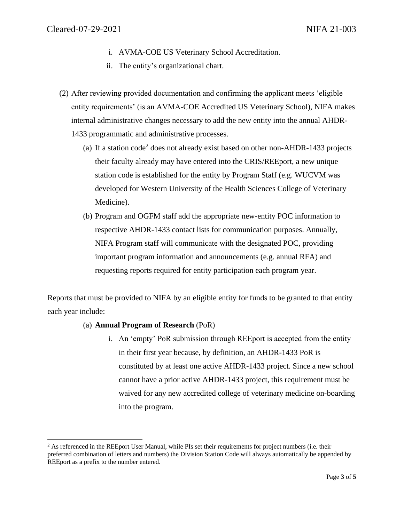- i. AVMA-COE US Veterinary School Accreditation.
- ii. The entity's organizational chart.
- (2) After reviewing provided documentation and confirming the applicant meets 'eligible entity requirements' (is an AVMA-COE Accredited US Veterinary School), NIFA makes internal administrative changes necessary to add the new entity into the annual AHDR-1433 programmatic and administrative processes.
	- (a) If a station code<sup>2</sup> does not already exist based on other non-AHDR-1433 projects their faculty already may have entered into the CRIS/REEport, a new unique station code is established for the entity by Program Staff (e.g. WUCVM was developed for Western University of the Health Sciences College of Veterinary Medicine).
	- (b) Program and OGFM staff add the appropriate new-entity POC information to respective AHDR-1433 contact lists for communication purposes. Annually, NIFA Program staff will communicate with the designated POC, providing important program information and announcements (e.g. annual RFA) and requesting reports required for entity participation each program year.

Reports that must be provided to NIFA by an eligible entity for funds to be granted to that entity each year include:

### (a) **Annual Program of Research** (PoR)

i. An 'empty' PoR submission through REEport is accepted from the entity in their first year because, by definition, an AHDR-1433 PoR is constituted by at least one active AHDR-1433 project. Since a new school cannot have a prior active AHDR-1433 project, this requirement must be waived for any new accredited college of veterinary medicine on-boarding into the program.

 $<sup>2</sup>$  As referenced in the REEport User Manual, while PIs set their requirements for project numbers (i.e. their</sup> preferred combination of letters and numbers) the Division Station Code will always automatically be appended by REEport as a prefix to the number entered.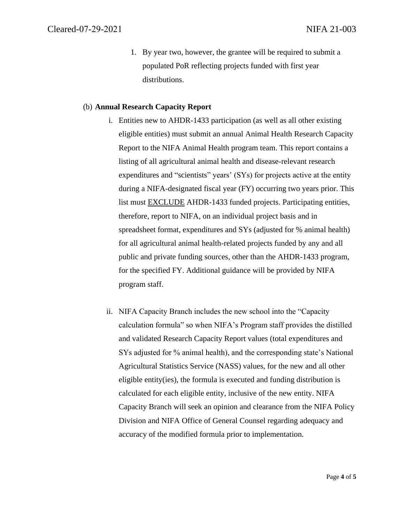1. By year two, however, the grantee will be required to submit a populated PoR reflecting projects funded with first year distributions.

#### (b) **Annual Research Capacity Report**

- i. Entities new to AHDR-1433 participation (as well as all other existing eligible entities) must submit an annual Animal Health Research Capacity Report to the NIFA Animal Health program team. This report contains a listing of all agricultural animal health and disease-relevant research expenditures and "scientists" years' (SYs) for projects active at the entity during a NIFA-designated fiscal year (FY) occurring two years prior. This list must EXCLUDE AHDR-1433 funded projects. Participating entities, therefore, report to NIFA, on an individual project basis and in spreadsheet format, expenditures and SYs (adjusted for % animal health) for all agricultural animal health-related projects funded by any and all public and private funding sources, other than the AHDR-1433 program, for the specified FY. Additional guidance will be provided by NIFA program staff.
- ii. NIFA Capacity Branch includes the new school into the "Capacity calculation formula" so when NIFA's Program staff provides the distilled and validated Research Capacity Report values (total expenditures and SYs adjusted for % animal health), and the corresponding state's National Agricultural Statistics Service (NASS) values, for the new and all other eligible entity(ies), the formula is executed and funding distribution is calculated for each eligible entity, inclusive of the new entity. NIFA Capacity Branch will seek an opinion and clearance from the NIFA Policy Division and NIFA Office of General Counsel regarding adequacy and accuracy of the modified formula prior to implementation.